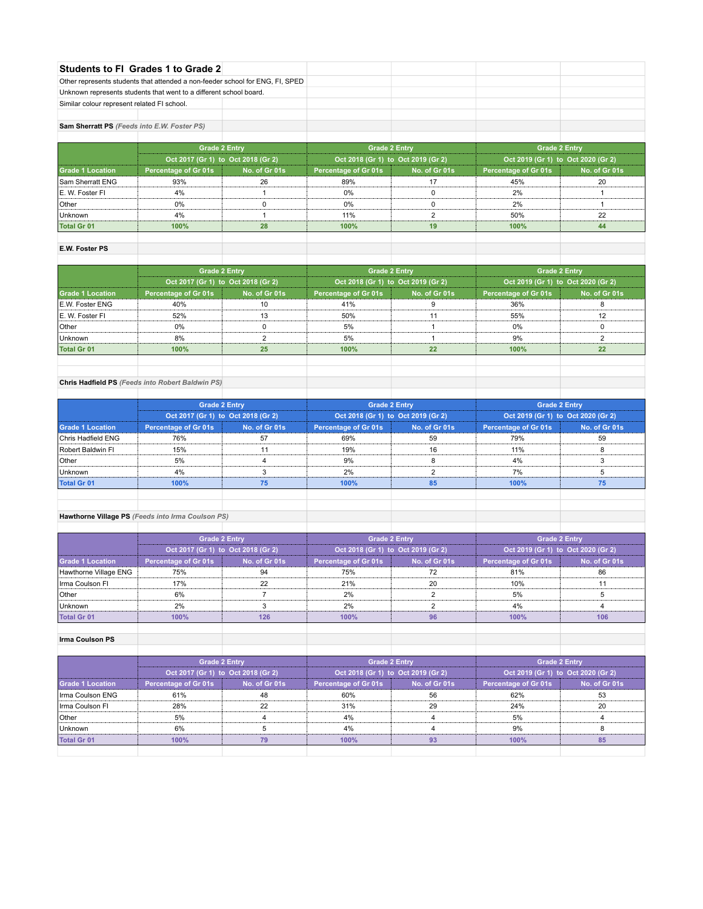|                                             | Students to FI Grades 1 to Grade 2                                            |               |                                    |                      |                                    |               |  |
|---------------------------------------------|-------------------------------------------------------------------------------|---------------|------------------------------------|----------------------|------------------------------------|---------------|--|
|                                             | Other represents students that attended a non-feeder school for ENG, FI, SPED |               |                                    |                      |                                    |               |  |
|                                             | Unknown represents students that went to a different school board.            |               |                                    |                      |                                    |               |  |
| Similar colour represent related FI school. |                                                                               |               |                                    |                      |                                    |               |  |
|                                             |                                                                               |               |                                    |                      |                                    |               |  |
| Sam Sherratt PS (Feeds into E.W. Foster PS) |                                                                               |               |                                    |                      |                                    |               |  |
|                                             |                                                                               |               |                                    |                      |                                    |               |  |
|                                             | <b>Grade 2 Entry</b>                                                          |               |                                    | <b>Grade 2 Entry</b> | <b>Grade 2 Entry</b>               |               |  |
|                                             | Oct 2017 (Gr 1) to Oct 2018 (Gr 2)                                            |               | Oct 2018 (Gr 1) to Oct 2019 (Gr 2) |                      | Oct 2019 (Gr 1) to Oct 2020 (Gr 2) |               |  |
| <b>Grade 1 Location</b>                     | <b>Percentage of Gr 01s</b>                                                   | No. of Gr 01s | Percentage of Gr 01s               | No. of Gr 01s        | Percentage of Gr 01s               | No. of Gr 01s |  |
| Sam Sherratt ENG                            | 93%                                                                           | 26            | 89%                                | 17                   | 45%                                | 20            |  |
| E. W. Foster FI                             | 4%                                                                            |               | 0%                                 | $\Omega$             | 2%                                 |               |  |
| Other                                       | 0%                                                                            | n             | 0%                                 |                      | 2%                                 |               |  |
| Unknown                                     | 4%                                                                            |               | 11%                                | 2                    | 50%                                | 22            |  |
| <b>Total Gr 01</b>                          | 100%                                                                          | 28            | 100%                               | 19                   | 100%                               | 44            |  |
|                                             |                                                                               |               |                                    |                      |                                    |               |  |

# **E.W. Foster PS**

|                         | <b>Grade 2 Entry</b>               |               |                                    | <b>Grade 2 Entry</b> | <b>Grade 2 Entry</b><br>Oct 2019 (Gr 1) to Oct 2020 (Gr 2) |               |
|-------------------------|------------------------------------|---------------|------------------------------------|----------------------|------------------------------------------------------------|---------------|
|                         | Oct 2017 (Gr 1) to Oct 2018 (Gr 2) |               | Oct 2018 (Gr 1) to Oct 2019 (Gr 2) |                      |                                                            |               |
| <b>Grade 1 Location</b> | Percentage of Gr 01s               | No. of Gr 01s | Percentage of Gr 01s               | No. of Gr 01s        | Percentage of Gr 01s                                       | No. of Gr 01s |
| <b>IE.W. Foster ENG</b> | 40%                                | 10            | 41%                                |                      | 36%                                                        |               |
| IE. W. Foster FI        | 52%                                | 13            | 50%                                |                      | 55%                                                        | 12            |
| Other                   | 0%                                 |               | 5%                                 |                      | 0%                                                         |               |
| Unknown                 | 8%                                 |               | 5%                                 |                      | 9%                                                         |               |
| <b>Total Gr 01</b>      | 100%                               | 25            | 100%                               | 22                   | 100%                                                       | 22            |
|                         |                                    |               |                                    |                      |                                                            |               |

# **Chris Hadfield PS** *(Feeds into Robert Baldwin PS)*

|                         | <b>Grade 2 Entry</b>               |               |                                    | <b>Grade 2 Entry</b> |                                    | <b>Grade 2 Entry</b> |  |
|-------------------------|------------------------------------|---------------|------------------------------------|----------------------|------------------------------------|----------------------|--|
|                         | Oct 2017 (Gr 1) to Oct 2018 (Gr 2) |               | Oct 2018 (Gr 1) to Oct 2019 (Gr 2) |                      | Oct 2019 (Gr 1) to Oct 2020 (Gr 2) |                      |  |
| <b>Grade 1 Location</b> | <b>Percentage of Gr 01s</b>        | No. of Gr 01s | <b>Percentage of Gr 01s</b>        | No. of Gr 01s        | <b>Percentage of Gr 01s</b>        | No. of Gr 01s        |  |
| Chris Hadfield ENG      | 76%                                | 57            | 69%                                | 59                   | 79%                                | 59                   |  |
| Robert Baldwin Fl       | 15%                                | 11            | 19%                                | 16                   | 11%                                |                      |  |
| Other                   | 5%                                 |               | 9%                                 |                      | 4%                                 |                      |  |
| Unknown                 | 4%                                 |               | 2%                                 |                      | 7%                                 |                      |  |
| <b>Total Gr 01</b>      | 100%                               | 75            | 100%                               | 85                   | 100%                               | 75                   |  |
|                         |                                    |               |                                    |                      |                                    |                      |  |

# **Hawthorne Village PS** *(Feeds into Irma Coulson PS)*

|                         | <b>Grade 2 Entry</b>               |               |                                    | <b>Grade 2 Entry</b> |                                    | <b>Grade 2 Entry</b> |  |
|-------------------------|------------------------------------|---------------|------------------------------------|----------------------|------------------------------------|----------------------|--|
|                         | Oct 2017 (Gr 1) to Oct 2018 (Gr 2) |               | Oct 2018 (Gr 1) to Oct 2019 (Gr 2) |                      | Oct 2019 (Gr 1) to Oct 2020 (Gr 2) |                      |  |
| <b>Grade 1 Location</b> | Percentage of Gr 01s               | No. of Gr 01s | Percentage of Gr 01s               | No. of Gr 01s        | Percentage of Gr 01s               | No. of Gr 01s        |  |
| Hawthorne Village ENG   | 75%                                | 94            | 75%                                | 72                   | 81%                                | 86                   |  |
| I Irma Coulson FI       | 17%                                | 22            | 21%                                | 20                   | 10%                                |                      |  |
| Other                   | 6%                                 |               | 2%                                 |                      | 5%                                 |                      |  |
| Unknown                 | 2%                                 |               | 2%                                 |                      | 4%                                 |                      |  |
| <b>Total Gr 01</b>      | 100%                               | 126           | 100%                               | 96                   | 100%                               | 106                  |  |

#### **Irma Coulson PS**

|                         | <b>Grade 2 Entry</b> |                                    | <b>Grade 2 Entry</b>               |               | <b>Grade 2 Entry</b>               |               |
|-------------------------|----------------------|------------------------------------|------------------------------------|---------------|------------------------------------|---------------|
|                         |                      | Oct 2017 (Gr 1) to Oct 2018 (Gr 2) | Oct 2018 (Gr 1) to Oct 2019 (Gr 2) |               | Oct 2019 (Gr 1) to Oct 2020 (Gr 2) |               |
| <b>Grade 1 Location</b> | Percentage of Gr 01s | No. of Gr 01s                      | <b>Percentage of Gr 01s</b>        | No. of Gr 01s | Percentage of Gr 01s               | No. of Gr 01s |
| Irma Coulson ENG        | 61%                  | 48                                 | 60%                                | 56            | 62%                                | 53            |
| Irma Coulson FI         | 28%                  | 22                                 | 31%                                | 29            | 24%                                | 20            |
| Other                   | 5%                   |                                    | 4%                                 |               | 5%                                 |               |
| <b>Unknown</b>          | 6%                   |                                    | 4%                                 |               | 9%                                 |               |
| <b>Total Gr 01</b>      | 100%                 | 79                                 | 100%                               | 93            | 100%                               | 85            |
|                         |                      |                                    |                                    |               |                                    |               |